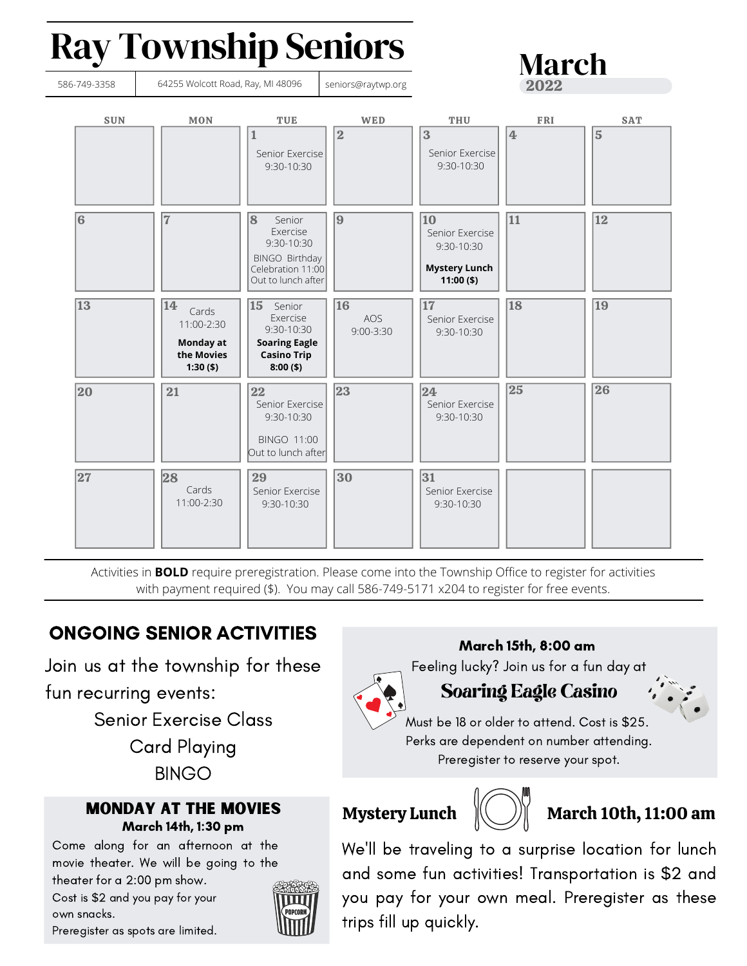# Ray Township Seniors



Activities in **BOLD** require preregistration. Please come into the Township Office to register for activities with payment required (\$). You may call 586-749-5171 x204 to register for free events.

# ONGOING SENIOR ACTIVITIES

Join us at the township for these fun recurring events:

Senior Exercise Class

Card Playing BINGO

#### Monday at the Movies March 14th, 1:30 pm

Come along for an afternoon at the movie theater. We will be going to the theater for a 2:00 pm show.

Cost is \$2 and you pay for your own snacks.



March 15th, 8:00 am

March

Feeling lucky? Join us for a fun day at

# Soaring Eagle Casino

Must be 18 or older to attend. Cost is \$25. Perks are dependent on number attending. Preregister to reserve your spot.



### Mystery Lunch  $\left\Vert \left( \quad \right) \right\Vert \right\Vert$  March 10th, 11:00 am

We'll be traveling to a surprise location for lunch and some fun activities! Transportation is \$2 and you pay for your own meal. Preregister as these trips fill up quickly.

Preregister as spots are limited.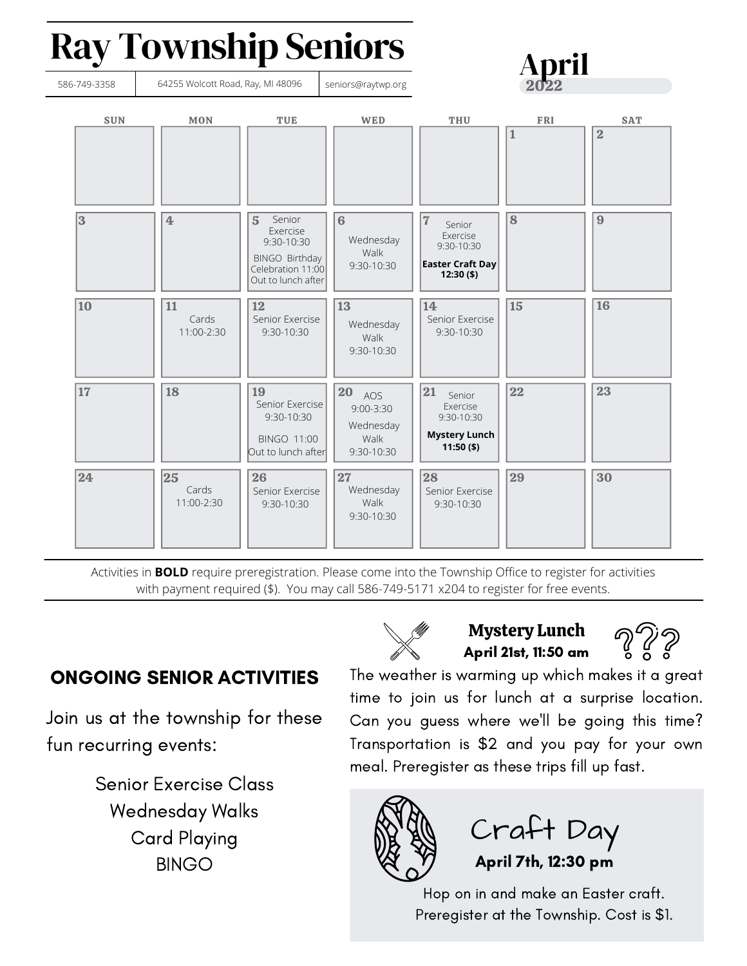# Ray Township Seniors



Activities in **BOLD** require preregistration. Please come into the Township Office to register for activities with payment required (\$). You may call 586-749-5171 x204 to register for free events.

# ONGOING SENIOR ACTIVITIES

Join us at the township for these fun recurring events:

> Senior Exercise Class Wednesday Walks Card Playing BINGO



### Mystery Lunch April 21st, 11:50 am



The weather is warming up which makes it a great time to join us for lunch at a surprise location. Can you guess where we'll be going this time? Transportation is \$2 and you pay for your own meal. Preregister as these trips fill up fast.



Craft Day April 7th, 12:30 pm

Hop on in and make an Easter craft. Preregister at the Township. Cost is \$1.